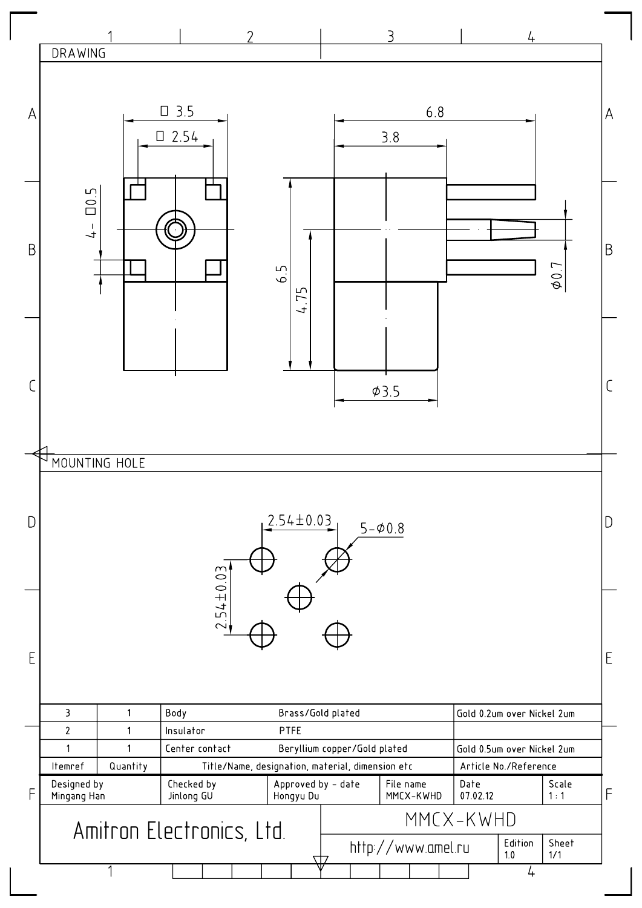